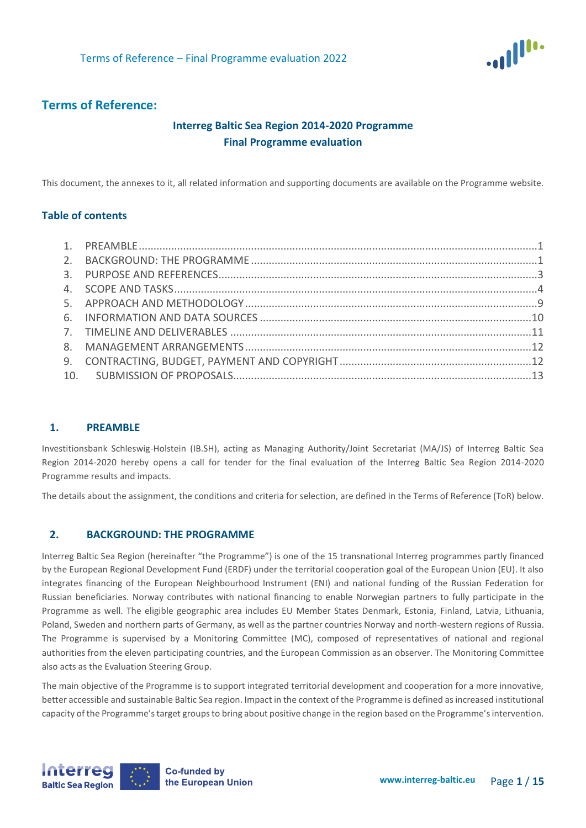

# **Terms of Reference:**

# **Interreg Baltic Sea Region 2014-2020 Programme Final Programme evaluation**

This document, the annexes to it, all related information and supporting documents are available on the Programme website.

### **Table of contents**

### <span id="page-0-0"></span>**1. PREAMBLE**

Investitionsbank Schleswig-Holstein (IB.SH), acting as Managing Authority/Joint Secretariat (MA/JS) of Interreg Baltic Sea Region 2014-2020 hereby opens a call for tender for the final evaluation of the Interreg Baltic Sea Region 2014-2020 Programme results and impacts.

<span id="page-0-1"></span>The details about the assignment, the conditions and criteria for selection, are defined in the Terms of Reference (ToR) below.

### **2. BACKGROUND: THE PROGRAMME**

Interreg Baltic Sea Region (hereinafter "the Programme") is one of the 15 transnational Interreg programmes partly financed by the European Regional Development Fund (ERDF) under the territorial cooperation goal of the European Union (EU). It also integrates financing of the European Neighbourhood Instrument (ENI) and national funding of the Russian Federation for Russian beneficiaries. Norway contributes with national financing to enable Norwegian partners to fully participate in the Programme as well. The eligible geographic area includes EU Member States Denmark, Estonia, Finland, Latvia, Lithuania, Poland, Sweden and northern parts of Germany, as well as the partner countries Norway and north-western regions of Russia. The Programme is supervised by a Monitoring Committee (MC), composed of representatives of national and regional authorities from the eleven participating countries, and the European Commission as an observer. The Monitoring Committee also acts as the Evaluation Steering Group.

The main objective of the Programme is to support integrated territorial development and cooperation for a more innovative, better accessible and sustainable Baltic Sea region. Impact in the context of the Programme is defined as increased institutional capacity of the Programme's target groups to bring about positive change in the region based on the Programme's intervention.

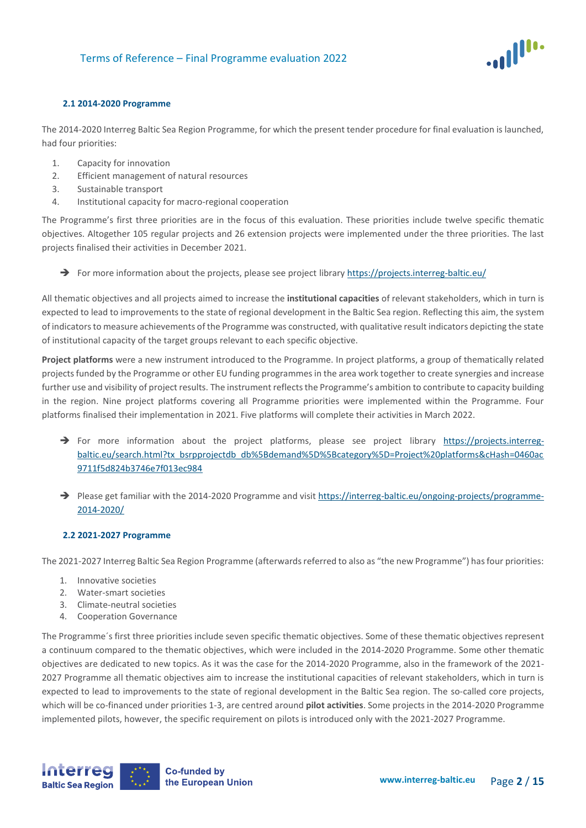

### **2.1 2014-2020 Programme**

The 2014-2020 Interreg Baltic Sea Region Programme, for which the present tender procedure for final evaluation is launched, had four priorities:

- 1. Capacity for innovation
- 2. Efficient management of natural resources
- 3. Sustainable transport
- 4. Institutional capacity for macro-regional cooperation

The Programme's first three priorities are in the focus of this evaluation. These priorities include twelve specific thematic objectives. Altogether 105 regular projects and 26 extension projects were implemented under the three priorities. The last projects finalised their activities in December 2021.

→ For more information about the projects, please see project librar[y https://projects.interreg-baltic.eu/](https://projects.interreg-baltic.eu/)

All thematic objectives and all projects aimed to increase the **institutional capacities** of relevant stakeholders, which in turn is expected to lead to improvements to the state of regional development in the Baltic Sea region. Reflecting this aim, the system of indicators to measure achievements of the Programme was constructed, with qualitative result indicators depicting the state of institutional capacity of the target groups relevant to each specific objective.

**Project platforms** were a new instrument introduced to the Programme. In project platforms, a group of thematically related projects funded by the Programme or other EU funding programmes in the area work together to create synergies and increase further use and visibility of project results. The instrument reflects the Programme's ambition to contribute to capacity building in the region. Nine project platforms covering all Programme priorities were implemented within the Programme. Four platforms finalised their implementation in 2021. Five platforms will complete their activities in March 2022.

- → For more information about the project platforms, please see project library [https://projects.interreg](https://projects.interreg-baltic.eu/search.html?tx_bsrpprojectdb_db%5Bdemand%5D%5Bcategory%5D=Project%20platforms&cHash=0460ac9711f5d824b3746e7f013ec984)[baltic.eu/search.html?tx\\_bsrpprojectdb\\_db%5Bdemand%5D%5Bcategory%5D=Project%20platforms&cHash=0460ac](https://projects.interreg-baltic.eu/search.html?tx_bsrpprojectdb_db%5Bdemand%5D%5Bcategory%5D=Project%20platforms&cHash=0460ac9711f5d824b3746e7f013ec984) [9711f5d824b3746e7f013ec984](https://projects.interreg-baltic.eu/search.html?tx_bsrpprojectdb_db%5Bdemand%5D%5Bcategory%5D=Project%20platforms&cHash=0460ac9711f5d824b3746e7f013ec984)
- → Please get familiar with the 2014-2020 Programme and visi[t https://interreg-baltic.eu/ongoing-projects/programme-](https://interreg-baltic.eu/ongoing-projects/programme-2014-2020/)[2014-2020/](https://interreg-baltic.eu/ongoing-projects/programme-2014-2020/)

### **2.2 2021-2027 Programme**

The 2021-2027 Interreg Baltic Sea Region Programme (afterwards referred to also as "the new Programme") has four priorities:

- 1. Innovative societies
- 2. Water-smart societies
- 3. Climate-neutral societies
- 4. Cooperation Governance

The Programme´s first three priorities include seven specific thematic objectives. Some of these thematic objectives represent a continuum compared to the thematic objectives, which were included in the 2014-2020 Programme. Some other thematic objectives are dedicated to new topics. As it was the case for the 2014-2020 Programme, also in the framework of the 2021- 2027 Programme all thematic objectives aim to increase the institutional capacities of relevant stakeholders, which in turn is expected to lead to improvements to the state of regional development in the Baltic Sea region. The so-called core projects, which will be co-financed under priorities 1-3, are centred around **pilot activities**. Some projects in the 2014-2020 Programme implemented pilots, however, the specific requirement on pilots is introduced only with the 2021-2027 Programme.

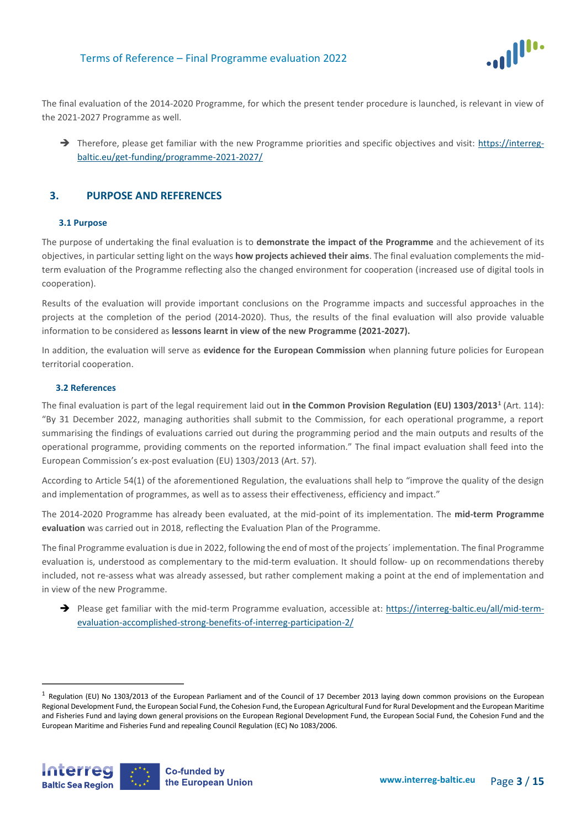

The final evaluation of the 2014-2020 Programme, for which the present tender procedure is launched, is relevant in view of the 2021-2027 Programme as well.

→ Therefore, please get familiar with the new Programme priorities and specific objectives and visit: [https://interreg](https://interreg-baltic.eu/get-funding/programme-2021-2027/)[baltic.eu/get-funding/programme-2021-2027/](https://interreg-baltic.eu/get-funding/programme-2021-2027/)

## <span id="page-2-0"></span>**3. PURPOSE AND REFERENCES**

### **3.1 Purpose**

The purpose of undertaking the final evaluation is to **demonstrate the impact of the Programme** and the achievement of its objectives, in particular setting light on the ways **how projects achieved their aims**. The final evaluation complements the midterm evaluation of the Programme reflecting also the changed environment for cooperation (increased use of digital tools in cooperation).

Results of the evaluation will provide important conclusions on the Programme impacts and successful approaches in the projects at the completion of the period (2014-2020). Thus, the results of the final evaluation will also provide valuable information to be considered as **lessons learnt in view of the new Programme (2021-2027).**

In addition, the evaluation will serve as **evidence for the European Commission** when planning future policies for European territorial cooperation.

### **3.2 References**

 $\overline{a}$ 

The final evaluation is part of the legal requirement laid out **in the Common Provision Regulation (EU) 1303/2013<sup>1</sup>** (Art. 114): "By 31 December 2022, managing authorities shall submit to the Commission, for each operational programme, a report summarising the findings of evaluations carried out during the programming period and the main outputs and results of the operational programme, providing comments on the reported information." The final impact evaluation shall feed into the European Commission's ex-post evaluation (EU) 1303/2013 (Art. 57).

According to Article 54(1) of the aforementioned Regulation, the evaluations shall help to "improve the quality of the design and implementation of programmes, as well as to assess their effectiveness, efficiency and impact."

The 2014-2020 Programme has already been evaluated, at the mid-point of its implementation. The **mid-term Programme evaluation** was carried out in 2018, reflecting the Evaluation Plan of the Programme.

The final Programme evaluation is due in 2022, following the end of most of the projects´ implementation. The final Programme evaluation is, understood as complementary to the mid-term evaluation. It should follow- up on recommendations thereby included, not re-assess what was already assessed, but rather complement making a point at the end of implementation and in view of the new Programme.

→ Please get familiar with the mid-term Programme evaluation, accessible at: [https://interreg-baltic.eu/all/mid-term](https://interreg-baltic.eu/all/mid-term-evaluation-accomplished-strong-benefits-of-interreg-participation-2/)[evaluation-accomplished-strong-benefits-of-interreg-participation-2/](https://interreg-baltic.eu/all/mid-term-evaluation-accomplished-strong-benefits-of-interreg-participation-2/)

<sup>&</sup>lt;sup>1</sup> Regulation (EU) No 1303/2013 of the European Parliament and of the Council of 17 December 2013 laying down common provisions on the European Regional Development Fund, the European Social Fund, the Cohesion Fund, the European Agricultural Fund for Rural Development and the European Maritime and Fisheries Fund and laying down general provisions on the European Regional Development Fund, the European Social Fund, the Cohesion Fund and the European Maritime and Fisheries Fund and repealing Council Regulation (EC) No 1083/2006.

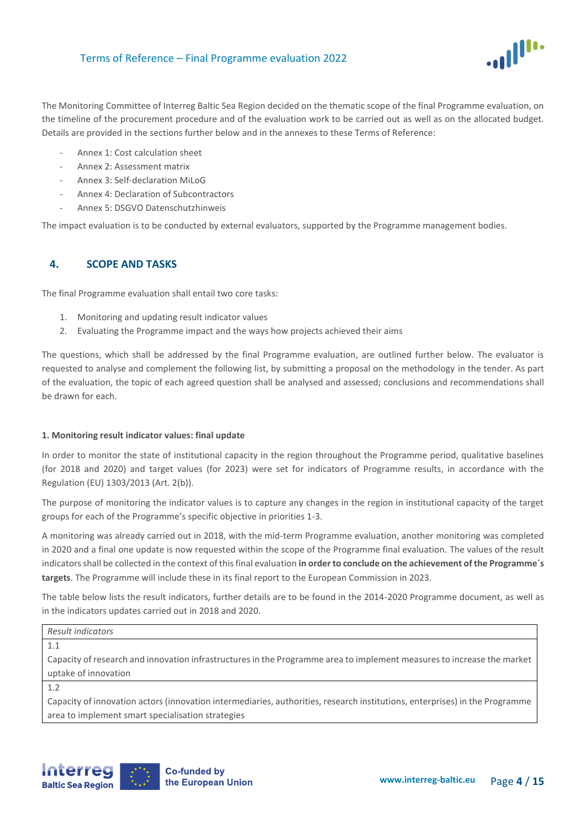

The Monitoring Committee of Interreg Baltic Sea Region decided on the thematic scope of the final Programme evaluation, on the timeline of the procurement procedure and of the evaluation work to be carried out as well as on the allocated budget. Details are provided in the sections further below and in the annexes to these Terms of Reference:

- Annex 1: Cost calculation sheet
- Annex 2: Assessment matrix
- Annex 3: Self-declaration MiLoG
- Annex 4: Declaration of Subcontractors
- Annex 5: DSGVO Datenschutzhinweis

<span id="page-3-0"></span>The impact evaluation is to be conducted by external evaluators, supported by the Programme management bodies.

# **4. SCOPE AND TASKS**

The final Programme evaluation shall entail two core tasks:

- 1. Monitoring and updating result indicator values
- 2. Evaluating the Programme impact and the ways how projects achieved their aims

The questions, which shall be addressed by the final Programme evaluation, are outlined further below. The evaluator is requested to analyse and complement the following list, by submitting a proposal on the methodology in the tender. As part of the evaluation, the topic of each agreed question shall be analysed and assessed; conclusions and recommendations shall be drawn for each.

### **1. Monitoring result indicator values: final update**

In order to monitor the state of institutional capacity in the region throughout the Programme period, qualitative baselines (for 2018 and 2020) and target values (for 2023) were set for indicators of Programme results, in accordance with the Regulation (EU) 1303/2013 (Art. 2(b)).

The purpose of monitoring the indicator values is to capture any changes in the region in institutional capacity of the target groups for each of the Programme's specific objective in priorities 1-3.

A monitoring was already carried out in 2018, with the mid-term Programme evaluation, another monitoring was completed in 2020 and a final one update is now requested within the scope of the Programme final evaluation. The values of the result indicators shall be collected in the context of this final evaluation **in order to conclude on the achievement of the Programme´s targets**. The Programme will include these in its final report to the European Commission in 2023.

The table below lists the result indicators, further details are to be found in the 2014-2020 Programme document, as well as in the indicators updates carried out in 2018 and 2020.

#### *Result indicators*

1.1

Capacity of research and innovation infrastructures in the Programme area to implement measures to increase the market uptake of innovation

1.2

Capacity of innovation actors (innovation intermediaries, authorities, research institutions, enterprises) in the Programme area to implement smart specialisation strategies

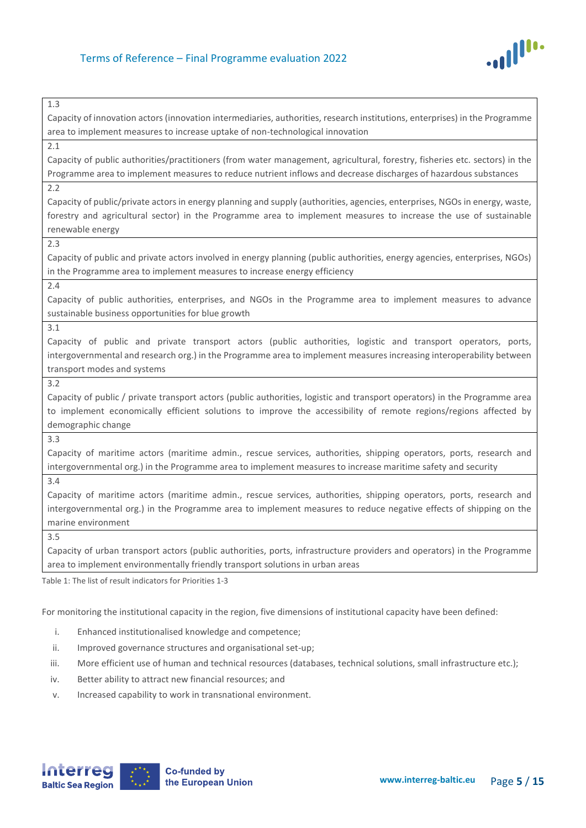

| 1.3                                                                                                                         |  |  |
|-----------------------------------------------------------------------------------------------------------------------------|--|--|
| Capacity of innovation actors (innovation intermediaries, authorities, research institutions, enterprises) in the Programme |  |  |
| area to implement measures to increase uptake of non-technological innovation                                               |  |  |
| 2.1                                                                                                                         |  |  |
| Capacity of public authorities/practitioners (from water management, agricultural, forestry, fisheries etc. sectors) in the |  |  |
| Programme area to implement measures to reduce nutrient inflows and decrease discharges of hazardous substances             |  |  |
| 2.2                                                                                                                         |  |  |
| Capacity of public/private actors in energy planning and supply (authorities, agencies, enterprises, NGOs in energy, waste, |  |  |
| forestry and agricultural sector) in the Programme area to implement measures to increase the use of sustainable            |  |  |
| renewable energy                                                                                                            |  |  |
| 2.3                                                                                                                         |  |  |
| Capacity of public and private actors involved in energy planning (public authorities, energy agencies, enterprises, NGOs)  |  |  |
| in the Programme area to implement measures to increase energy efficiency                                                   |  |  |
| 2.4                                                                                                                         |  |  |
| Capacity of public authorities, enterprises, and NGOs in the Programme area to implement measures to advance                |  |  |
| sustainable business opportunities for blue growth                                                                          |  |  |
| 3.1                                                                                                                         |  |  |
| Capacity of public and private transport actors (public authorities, logistic and transport operators, ports,               |  |  |
| intergovernmental and research org.) in the Programme area to implement measures increasing interoperability between        |  |  |
| transport modes and systems                                                                                                 |  |  |
| 3.2                                                                                                                         |  |  |
| Capacity of public / private transport actors (public authorities, logistic and transport operators) in the Programme area  |  |  |
| to implement economically efficient solutions to improve the accessibility of remote regions/regions affected by            |  |  |
| demographic change                                                                                                          |  |  |
| 3.3                                                                                                                         |  |  |
| Capacity of maritime actors (maritime admin., rescue services, authorities, shipping operators, ports, research and         |  |  |
| intergovernmental org.) in the Programme area to implement measures to increase maritime safety and security                |  |  |
| 3.4                                                                                                                         |  |  |
| Capacity of maritime actors (maritime admin., rescue services, authorities, shipping operators, ports, research and         |  |  |
| intergovernmental org.) in the Programme area to implement measures to reduce negative effects of shipping on the           |  |  |
| marine environment                                                                                                          |  |  |
|                                                                                                                             |  |  |

Capacity of urban transport actors (public authorities, ports, infrastructure providers and operators) in the Programme area to implement environmentally friendly transport solutions in urban areas

Table 1: The list of result indicators for Priorities 1-3

For monitoring the institutional capacity in the region, five dimensions of institutional capacity have been defined:

- i. Enhanced institutionalised knowledge and competence;
- ii. Improved governance structures and organisational set-up;
- iii. More efficient use of human and technical resources (databases, technical solutions, small infrastructure etc.);
- iv. Better ability to attract new financial resources; and
- v. Increased capability to work in transnational environment.

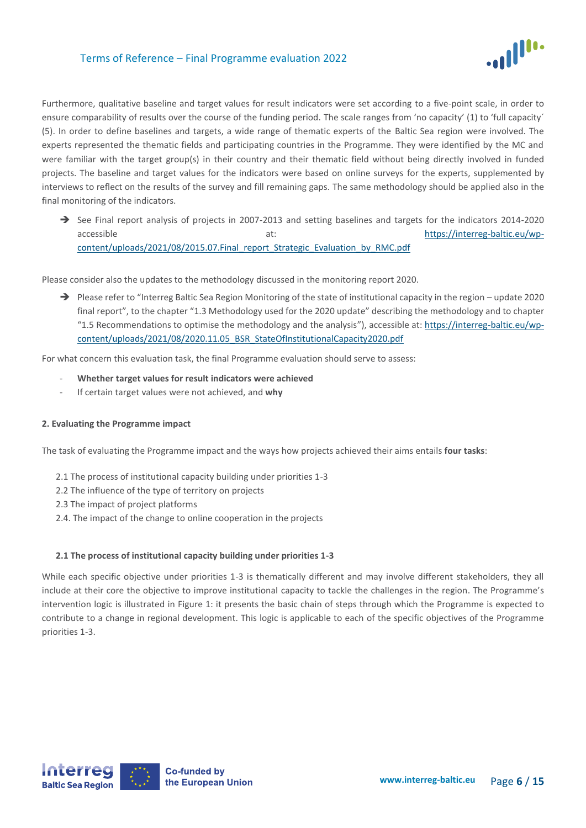

Furthermore, qualitative baseline and target values for result indicators were set according to a five-point scale, in order to ensure comparability of results over the course of the funding period. The scale ranges from 'no capacity' (1) to 'full capacity´ (5). In order to define baselines and targets, a wide range of thematic experts of the Baltic Sea region were involved. The experts represented the thematic fields and participating countries in the Programme. They were identified by the MC and were familiar with the target group(s) in their country and their thematic field without being directly involved in funded projects. The baseline and target values for the indicators were based on online surveys for the experts, supplemented by interviews to reflect on the results of the survey and fill remaining gaps. The same methodology should be applied also in the final monitoring of the indicators.

➔ See Final report analysis of projects in 2007-2013 and setting baselines and targets for the indicators 2014-2020 accessible at: [https://interreg-baltic.eu/wp](https://interreg-baltic.eu/wp-content/uploads/2021/08/2015.07.Final_report_Strategic_Evaluation_by_RMC.pdf)[content/uploads/2021/08/2015.07.Final\\_report\\_Strategic\\_Evaluation\\_by\\_RMC.pdf](https://interreg-baltic.eu/wp-content/uploads/2021/08/2015.07.Final_report_Strategic_Evaluation_by_RMC.pdf)

Please consider also the updates to the methodology discussed in the monitoring report 2020.

→ Please refer to "Interreg Baltic Sea Region Monitoring of the state of institutional capacity in the region – update 2020 final report", to the chapter "1.3 Methodology used for the 2020 update" describing the methodology and to chapter "1.5 Recommendations to optimise the methodology and the analysis"), accessible at[: https://interreg-baltic.eu/wp](https://interreg-baltic.eu/wp-content/uploads/2021/08/2020.11.05_BSR_StateOfInstitutionalCapacity2020.pdf)[content/uploads/2021/08/2020.11.05\\_BSR\\_StateOfInstitutionalCapacity2020.pdf](https://interreg-baltic.eu/wp-content/uploads/2021/08/2020.11.05_BSR_StateOfInstitutionalCapacity2020.pdf)

For what concern this evaluation task, the final Programme evaluation should serve to assess:

- **Whether target values for result indicators were achieved**
- If certain target values were not achieved, and **why**

### **2. Evaluating the Programme impact**

The task of evaluating the Programme impact and the ways how projects achieved their aims entails **four tasks**:

- 2.1 The process of institutional capacity building under priorities 1-3
- 2.2 The influence of the type of territory on projects
- 2.3 The impact of project platforms
- 2.4. The impact of the change to online cooperation in the projects

### **2.1 The process of institutional capacity building under priorities 1-3**

While each specific objective under priorities 1-3 is thematically different and may involve different stakeholders, they all include at their core the objective to improve institutional capacity to tackle the challenges in the region. The Programme's intervention logic is illustrated in Figure 1: it presents the basic chain of steps through which the Programme is expected to contribute to a change in regional development. This logic is applicable to each of the specific objectives of the Programme priorities 1-3.

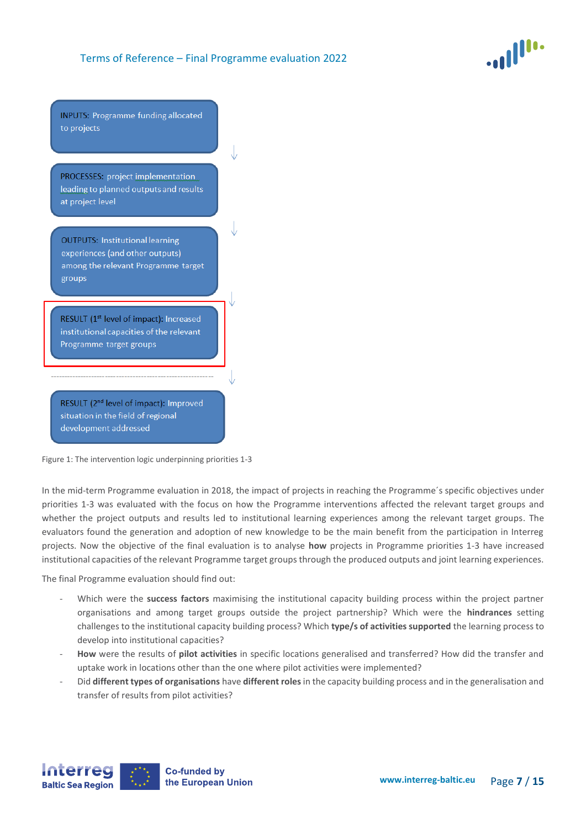

**INPUTS: Programme funding allocated** to projects

PROCESSES: project implementation leading to planned outputs and results at project level

**OUTPUTS: Institutional learning** experiences (and other outputs) among the relevant Programme target groups

RESULT (1<sup>st</sup> level of impact): Increased institutional capacities of the relevant Programme target groups

RESULT (2<sup>nd</sup> level of impact): Improved situation in the field of regional development addressed

Figure 1: The intervention logic underpinning priorities 1-3

In the mid-term Programme evaluation in 2018, the impact of projects in reaching the Programme´s specific objectives under priorities 1-3 was evaluated with the focus on how the Programme interventions affected the relevant target groups and whether the project outputs and results led to institutional learning experiences among the relevant target groups. The evaluators found the generation and adoption of new knowledge to be the main benefit from the participation in Interreg projects. Now the objective of the final evaluation is to analyse **how** projects in Programme priorities 1-3 have increased institutional capacities of the relevant Programme target groups through the produced outputs and joint learning experiences.

The final Programme evaluation should find out:

- Which were the **success factors** maximising the institutional capacity building process within the project partner organisations and among target groups outside the project partnership? Which were the **hindrances** setting challenges to the institutional capacity building process? Which **type/s of activities supported** the learning process to develop into institutional capacities?
- **How** were the results of **pilot activities** in specific locations generalised and transferred? How did the transfer and uptake work in locations other than the one where pilot activities were implemented?
- Did **different types of organisations** have **different roles** in the capacity building process and in the generalisation and transfer of results from pilot activities?

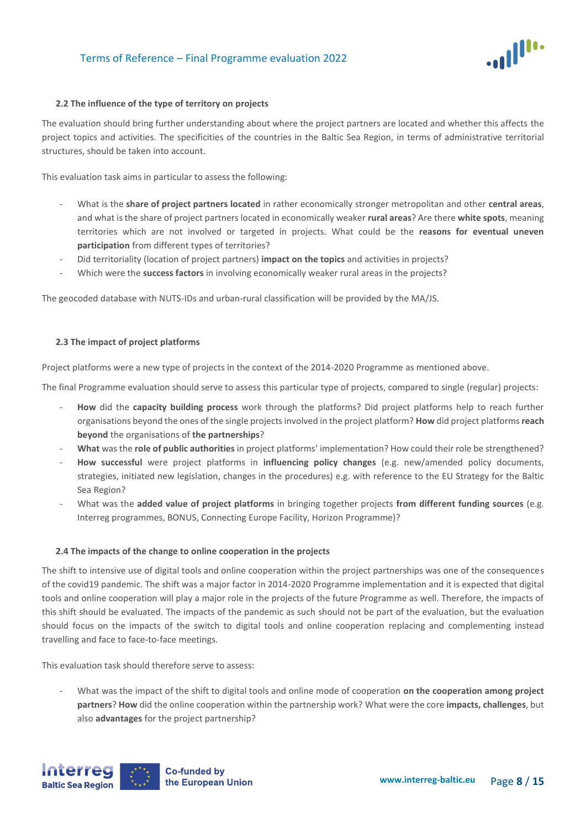

#### **2.2 The influence of the type of territory on projects**

The evaluation should bring further understanding about where the project partners are located and whether this affects the project topics and activities. The specificities of the countries in the Baltic Sea Region, in terms of administrative territorial structures, should be taken into account.

This evaluation task aims in particular to assess the following:

- What is the **share of project partners located** in rather economically stronger metropolitan and other **central areas**, and what is the share of project partners located in economically weaker **rural areas**? Are there **white spots**, meaning territories which are not involved or targeted in projects. What could be the **reasons for eventual uneven participation** from different types of territories?
- Did territoriality (location of project partners) **impact on the topics** and activities in projects?
- Which were the **success factors** in involving economically weaker rural areas in the projects?

The geocoded database with NUTS-IDs and urban-rural classification will be provided by the MA/JS.

#### **2.3 The impact of project platforms**

Project platforms were a new type of projects in the context of the 2014-2020 Programme as mentioned above.

The final Programme evaluation should serve to assess this particular type of projects, compared to single (regular) projects:

- **How** did the **capacity building process** work through the platforms? Did project platforms help to reach further organisations beyond the ones of the single projects involved in the project platform? **How** did project platforms **reach beyond** the organisations of **the partnerships**?
- **What** was the **role of public authorities** in project platforms' implementation? How could their role be strengthened?
- **How successful** were project platforms in **influencing policy changes** (e.g. new/amended policy documents, strategies, initiated new legislation, changes in the procedures) e.g. with reference to the EU Strategy for the Baltic Sea Region?
- What was the **added value of project platforms** in bringing together projects **from different funding sources** (e.g. Interreg programmes, BONUS, Connecting Europe Facility, Horizon Programme)?

#### **2.4 The impacts of the change to online cooperation in the projects**

The shift to intensive use of digital tools and online cooperation within the project partnerships was one of the consequences of the covid19 pandemic. The shift was a major factor in 2014-2020 Programme implementation and it is expected that digital tools and online cooperation will play a major role in the projects of the future Programme as well. Therefore, the impacts of this shift should be evaluated. The impacts of the pandemic as such should not be part of the evaluation, but the evaluation should focus on the impacts of the switch to digital tools and online cooperation replacing and complementing instead travelling and face to face-to-face meetings.

This evaluation task should therefore serve to assess:

- What was the impact of the shift to digital tools and online mode of cooperation **on the cooperation among project partners**? **How** did the online cooperation within the partnership work? What were the core **impacts, challenges**, but also **advantages** for the project partnership?

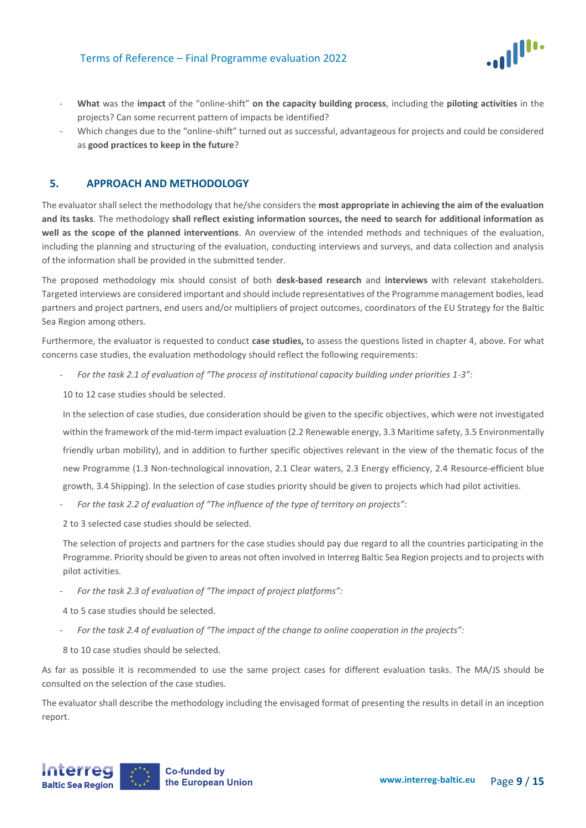

- **What** was the **impact** of the "online-shift" **on the capacity building process**, including the **piloting activities** in the projects? Can some recurrent pattern of impacts be identified?
- Which changes due to the "online-shift" turned out as successful, advantageous for projects and could be considered as **good practices to keep in the future**?

## <span id="page-8-0"></span>**5. APPROACH AND METHODOLOGY**

The evaluator shall select the methodology that he/she considers the **most appropriate in achieving the aim of the evaluation and its tasks**. The methodology **shall reflect existing information sources, the need to search for additional information as well as the scope of the planned interventions**. An overview of the intended methods and techniques of the evaluation, including the planning and structuring of the evaluation, conducting interviews and surveys, and data collection and analysis of the information shall be provided in the submitted tender.

The proposed methodology mix should consist of both **desk-based research** and **interviews** with relevant stakeholders. Targeted interviews are considered important and should include representatives of the Programme management bodies, lead partners and project partners, end users and/or multipliers of project outcomes, coordinators of the EU Strategy for the Baltic Sea Region among others.

Furthermore, the evaluator is requested to conduct **case studies,** to assess the questions listed in chapter 4, above. For what concerns case studies, the evaluation methodology should reflect the following requirements:

- *For the task 2.1 of evaluation of "The process of institutional capacity building under priorities 1-3":* 

10 to 12 case studies should be selected.

In the selection of case studies, due consideration should be given to the specific objectives, which were not investigated within the framework of the mid-term impact evaluation (2.2 Renewable energy, 3.3 Maritime safety, 3.5 Environmentally friendly urban mobility), and in addition to further specific objectives relevant in the view of the thematic focus of the new Programme (1.3 Non-technological innovation, 2.1 Clear waters, 2.3 Energy efficiency, 2.4 Resource-efficient blue growth, 3.4 Shipping). In the selection of case studies priority should be given to projects which had pilot activities.

For the task 2.2 of evaluation of "The influence of the type of territory on projects":

2 to 3 selected case studies should be selected.

The selection of projects and partners for the case studies should pay due regard to all the countries participating in the Programme. Priority should be given to areas not often involved in Interreg Baltic Sea Region projects and to projects with pilot activities.

- *For the task 2.3 of evaluation of "The impact of project platforms":*

4 to 5 case studies should be selected.

- *For the task 2.4 of evaluation of "The impact of the change to online cooperation in the projects":*
- 8 to 10 case studies should be selected.

As far as possible it is recommended to use the same project cases for different evaluation tasks. The MA/JS should be consulted on the selection of the case studies.

The evaluator shall describe the methodology including the envisaged format of presenting the results in detail in an inception report.

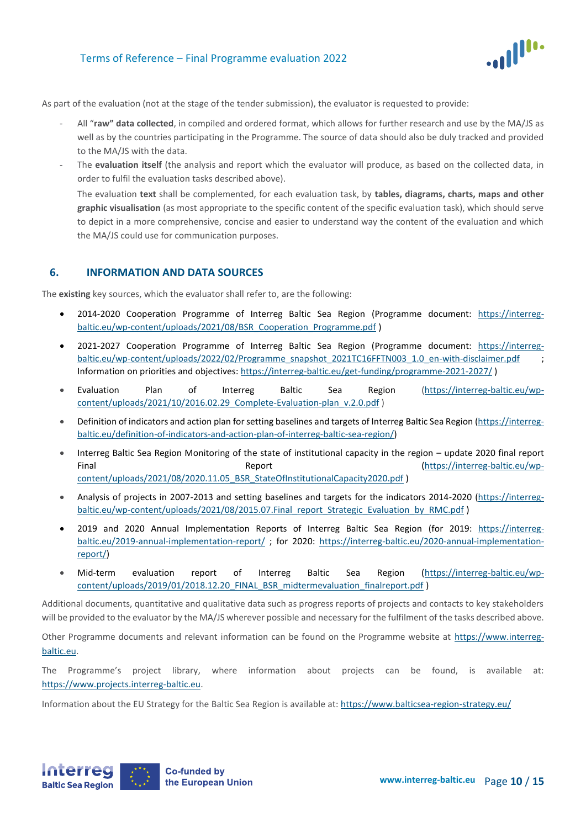

As part of the evaluation (not at the stage of the tender submission), the evaluator is requested to provide:

- All "**raw" data collected**, in compiled and ordered format, which allows for further research and use by the MA/JS as well as by the countries participating in the Programme. The source of data should also be duly tracked and provided to the MA/JS with the data.
- The evaluation itself (the analysis and report which the evaluator will produce, as based on the collected data, in order to fulfil the evaluation tasks described above).

The evaluation **text** shall be complemented, for each evaluation task, by **tables, diagrams, charts, maps and other graphic visualisation** (as most appropriate to the specific content of the specific evaluation task), which should serve to depict in a more comprehensive, concise and easier to understand way the content of the evaluation and which the MA/JS could use for communication purposes.

### <span id="page-9-0"></span>**6. INFORMATION AND DATA SOURCES**

The **existing** key sources, which the evaluator shall refer to, are the following:

- 2014-2020 Cooperation Programme of Interreg Baltic Sea Region (Programme document: [https://interreg](https://interreg-baltic.eu/wp-content/uploads/2021/08/BSR_Cooperation_Programme.pdf)[baltic.eu/wp-content/uploads/2021/08/BSR\\_Cooperation\\_Programme.pdf](https://interreg-baltic.eu/wp-content/uploads/2021/08/BSR_Cooperation_Programme.pdf) )
- 2021-2027 Cooperation Programme of Interreg Baltic Sea Region (Programme document: [https://interreg](https://interreg-baltic.eu/wp-content/uploads/2022/02/Programme_snapshot_2021TC16FFTN003_1.0_en-with-disclaimer.pdf)[baltic.eu/wp-content/uploads/2022/02/Programme\\_snapshot\\_2021TC16FFTN003\\_1.0\\_en-with-disclaimer.pdf](https://interreg-baltic.eu/wp-content/uploads/2022/02/Programme_snapshot_2021TC16FFTN003_1.0_en-with-disclaimer.pdf) Information on priorities and objectives[: https://interreg-baltic.eu/get-funding/programme-2021-2027/](https://interreg-baltic.eu/get-funding/programme-2021-2027/) )
- Evaluation Plan of Interreg Baltic Sea Region [\(https://interreg-baltic.eu/wp](https://interreg-baltic.eu/wp-content/uploads/2021/10/2016.02.29_Complete-Evaluation-plan_v.2.0.pdf)content/uploads/2021/10/2016.02.29 Complete-Evaluation-plan\_v.2.0.pdf )
- Definition of indicators and action plan for setting baselines and targets of Interreg Baltic Sea Region [\(https://interreg](https://interreg-baltic.eu/definition-of-indicators-and-action-plan-of-interreg-baltic-sea-region/)[baltic.eu/definition-of-indicators-and-action-plan-of-interreg-baltic-sea-region/\)](https://interreg-baltic.eu/definition-of-indicators-and-action-plan-of-interreg-baltic-sea-region/)
- Interreg Baltic Sea Region Monitoring of the state of institutional capacity in the region update 2020 final report Final Report Report [\(https://interreg-baltic.eu/wp](https://interreg-baltic.eu/wp-content/uploads/2021/08/2020.11.05_BSR_StateOfInstitutionalCapacity2020.pdf)[content/uploads/2021/08/2020.11.05\\_BSR\\_StateOfInstitutionalCapacity2020.pdf](https://interreg-baltic.eu/wp-content/uploads/2021/08/2020.11.05_BSR_StateOfInstitutionalCapacity2020.pdf) )
- Analysis of projects in 2007-2013 and setting baselines and targets for the indicators 2014-2020 [\(https://interreg](https://interreg-baltic.eu/wp-content/uploads/2021/08/2015.07.Final_report_Strategic_Evaluation_by_RMC.pdf)[baltic.eu/wp-content/uploads/2021/08/2015.07.Final\\_report\\_Strategic\\_Evaluation\\_by\\_RMC.pdf](https://interreg-baltic.eu/wp-content/uploads/2021/08/2015.07.Final_report_Strategic_Evaluation_by_RMC.pdf) )
- 2019 and 2020 Annual Implementation Reports of Interreg Baltic Sea Region (for 2019: [https://interreg](https://interreg-baltic.eu/2019-annual-implementation-report/)[baltic.eu/2019-annual-implementation-report/](https://interreg-baltic.eu/2019-annual-implementation-report/) ; for 2020: [https://interreg-baltic.eu/2020-annual-implementation](https://interreg-baltic.eu/2020-annual-implementation-report/)[report/\)](https://interreg-baltic.eu/2020-annual-implementation-report/)
- Mid-term evaluation report of Interreg Baltic Sea Region [\(https://interreg-baltic.eu/wp](https://interreg-baltic.eu/wp-content/uploads/2019/01/2018.12.20_FINAL_BSR_midtermevaluation_finalreport.pdf)[content/uploads/2019/01/2018.12.20\\_FINAL\\_BSR\\_midtermevaluation\\_finalreport.pdf](https://interreg-baltic.eu/wp-content/uploads/2019/01/2018.12.20_FINAL_BSR_midtermevaluation_finalreport.pdf) )

Additional documents, quantitative and qualitative data such as progress reports of projects and contacts to key stakeholders will be provided to the evaluator by the MA/JS wherever possible and necessary for the fulfilment of the tasks described above.

Other Programme documents and relevant information can be found on the Programme website at https://www[.interreg](http://www.interreg-baltic.eu/)[baltic.eu.](http://www.interreg-baltic.eu/)

The Programme's project library, where information about projects can be found, is available at: https://www[.projects.interreg-baltic.eu.](http://projects.interreg-baltic.eu/)

Information about the EU Strategy for the Baltic Sea Region is available at:<https://www.balticsea-region-strategy.eu/>

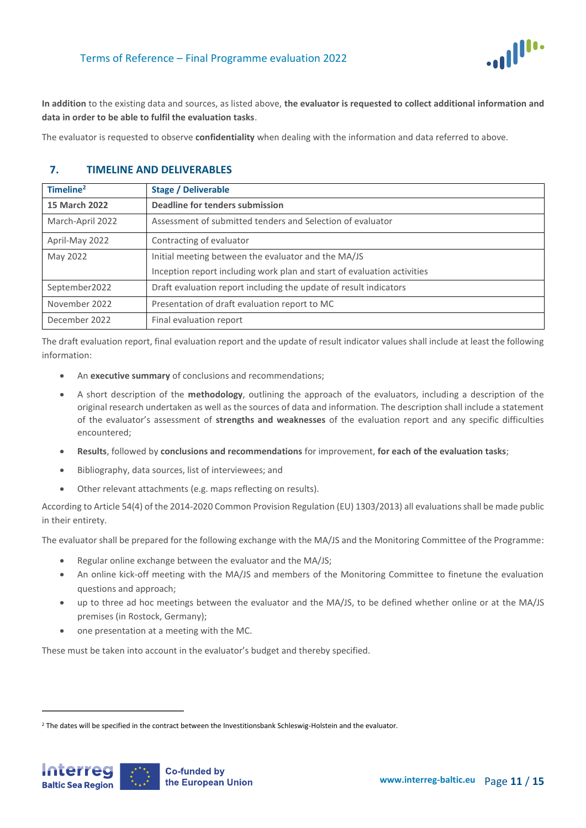

**In addition** to the existing data and sources, as listed above, **the evaluator is requested to collect additional information and data in order to be able to fulfil the evaluation tasks**.

The evaluator is requested to observe **confidentiality** when dealing with the information and data referred to above.

# <span id="page-10-0"></span>**7. TIMELINE AND DELIVERABLES**

| Timeline <sup>2</sup> | <b>Stage / Deliverable</b>                                              |
|-----------------------|-------------------------------------------------------------------------|
| <b>15 March 2022</b>  | Deadline for tenders submission                                         |
| March-April 2022      | Assessment of submitted tenders and Selection of evaluator              |
| April-May 2022        | Contracting of evaluator                                                |
| May 2022              | Initial meeting between the evaluator and the MA/JS                     |
|                       | Inception report including work plan and start of evaluation activities |
| September2022         | Draft evaluation report including the update of result indicators       |
| November 2022         | Presentation of draft evaluation report to MC                           |
| December 2022         | Final evaluation report                                                 |

The draft evaluation report, final evaluation report and the update of result indicator values shall include at least the following information:

- An **executive summary** of conclusions and recommendations;
- A short description of the **methodology**, outlining the approach of the evaluators, including a description of the original research undertaken as well as the sources of data and information. The description shall include a statement of the evaluator's assessment of **strengths and weaknesses** of the evaluation report and any specific difficulties encountered;
- **Results**, followed by **conclusions and recommendations** for improvement, **for each of the evaluation tasks**;
- Bibliography, data sources, list of interviewees; and
- Other relevant attachments (e.g. maps reflecting on results).

According to Article 54(4) of the 2014-2020 Common Provision Regulation (EU) 1303/2013) all evaluations shall be made public in their entirety.

The evaluator shall be prepared for the following exchange with the MA/JS and the Monitoring Committee of the Programme:

- Regular online exchange between the evaluator and the MA/JS;
- An online kick-off meeting with the MA/JS and members of the Monitoring Committee to finetune the evaluation questions and approach;
- up to three ad hoc meetings between the evaluator and the MA/JS, to be defined whether online or at the MA/JS premises (in Rostock, Germany);
- one presentation at a meeting with the MC.

These must be taken into account in the evaluator's budget and thereby specified.

 $\overline{a}$ 

<sup>&</sup>lt;sup>2</sup> The dates will be specified in the contract between the Investitionsbank Schleswig-Holstein and the evaluator.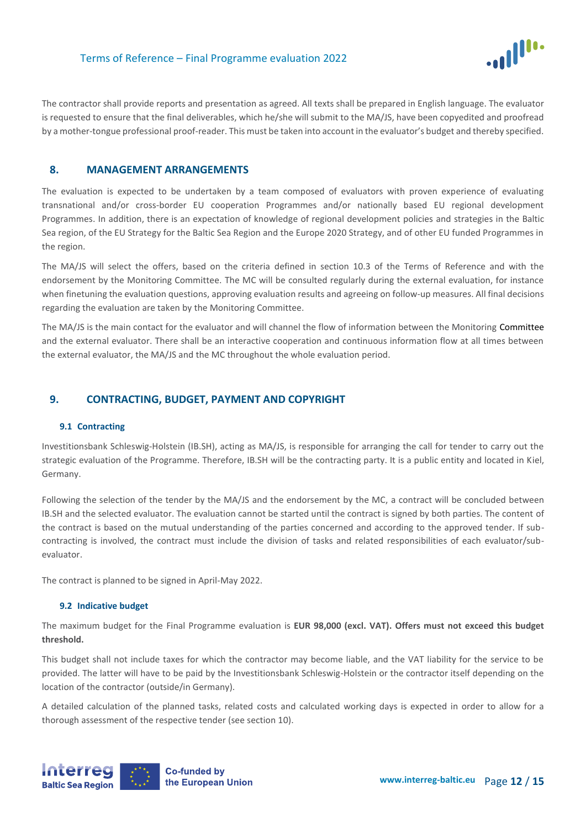

The contractor shall provide reports and presentation as agreed. All texts shall be prepared in English language. The evaluator is requested to ensure that the final deliverables, which he/she will submit to the MA/JS, have been copyedited and proofread by a mother-tongue professional proof-reader. This must be taken into account in the evaluator's budget and thereby specified.

### <span id="page-11-0"></span>**8. MANAGEMENT ARRANGEMENTS**

The evaluation is expected to be undertaken by a team composed of evaluators with proven experience of evaluating transnational and/or cross-border EU cooperation Programmes and/or nationally based EU regional development Programmes. In addition, there is an expectation of knowledge of regional development policies and strategies in the Baltic Sea region, of the EU Strategy for the Baltic Sea Region and the Europe 2020 Strategy, and of other EU funded Programmes in the region.

The MA/JS will select the offers, based on the criteria defined in section 10.3 of the Terms of Reference and with the endorsement by the Monitoring Committee. The MC will be consulted regularly during the external evaluation, for instance when finetuning the evaluation questions, approving evaluation results and agreeing on follow-up measures. All final decisions regarding the evaluation are taken by the Monitoring Committee.

The MA/JS is the main contact for the evaluator and will channel the flow of information between the Monitoring Committee and the external evaluator. There shall be an interactive cooperation and continuous information flow at all times between the external evaluator, the MA/JS and the MC throughout the whole evaluation period.

### <span id="page-11-1"></span>**9. CONTRACTING, BUDGET, PAYMENT AND COPYRIGHT**

### **9.1 Contracting**

Investitionsbank Schleswig-Holstein (IB.SH), acting as MA/JS, is responsible for arranging the call for tender to carry out the strategic evaluation of the Programme. Therefore, IB.SH will be the contracting party. It is a public entity and located in Kiel, Germany.

Following the selection of the tender by the MA/JS and the endorsement by the MC, a contract will be concluded between IB.SH and the selected evaluator. The evaluation cannot be started until the contract is signed by both parties. The content of the contract is based on the mutual understanding of the parties concerned and according to the approved tender. If subcontracting is involved, the contract must include the division of tasks and related responsibilities of each evaluator/subevaluator.

The contract is planned to be signed in April-May 2022.

### **9.2 Indicative budget**

The maximum budget for the Final Programme evaluation is **EUR 98,000 (excl. VAT). Offers must not exceed this budget threshold.**

This budget shall not include taxes for which the contractor may become liable, and the VAT liability for the service to be provided. The latter will have to be paid by the Investitionsbank Schleswig-Holstein or the contractor itself depending on the location of the contractor (outside/in Germany).

A detailed calculation of the planned tasks, related costs and calculated working days is expected in order to allow for a thorough assessment of the respective tender (see section 10).

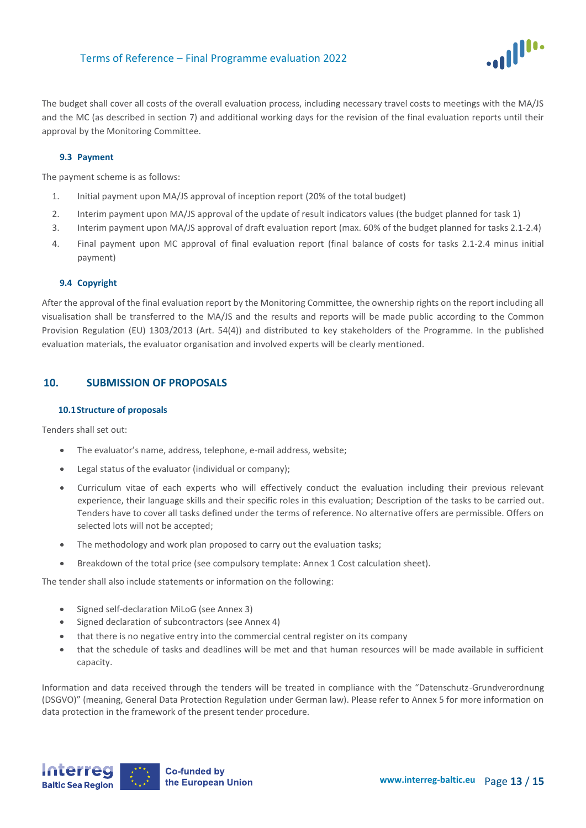

The budget shall cover all costs of the overall evaluation process, including necessary travel costs to meetings with the MA/JS and the MC (as described in section 7) and additional working days for the revision of the final evaluation reports until their approval by the Monitoring Committee.

### **9.3 Payment**

The payment scheme is as follows:

- 1. Initial payment upon MA/JS approval of inception report (20% of the total budget)
- 2. Interim payment upon MA/JS approval of the update of result indicators values (the budget planned for task 1)
- 3. Interim payment upon MA/JS approval of draft evaluation report (max. 60% of the budget planned for tasks 2.1-2.4)
- 4. Final payment upon MC approval of final evaluation report (final balance of costs for tasks 2.1-2.4 minus initial payment)

### **9.4 Copyright**

After the approval of the final evaluation report by the Monitoring Committee, the ownership rights on the report including all visualisation shall be transferred to the MA/JS and the results and reports will be made public according to the Common Provision Regulation (EU) 1303/2013 (Art. 54(4)) and distributed to key stakeholders of the Programme. In the published evaluation materials, the evaluator organisation and involved experts will be clearly mentioned.

# <span id="page-12-0"></span>**10. SUBMISSION OF PROPOSALS**

### **10.1Structure of proposals**

Tenders shall set out:

- The evaluator's name, address, telephone, e-mail address, website;
- Legal status of the evaluator (individual or company);
- Curriculum vitae of each experts who will effectively conduct the evaluation including their previous relevant experience, their language skills and their specific roles in this evaluation; Description of the tasks to be carried out. Tenders have to cover all tasks defined under the terms of reference. No alternative offers are permissible. Offers on selected lots will not be accepted;
- The methodology and work plan proposed to carry out the evaluation tasks;
- Breakdown of the total price (see compulsory template: Annex 1 Cost calculation sheet).

The tender shall also include statements or information on the following:

- Signed self-declaration MiLoG (see Annex 3)
- Signed declaration of subcontractors (see Annex 4)
- that there is no negative entry into the commercial central register on its company
- that the schedule of tasks and deadlines will be met and that human resources will be made available in sufficient capacity.

Information and data received through the tenders will be treated in compliance with the "Datenschutz-Grundverordnung (DSGVO)" (meaning, General Data Protection Regulation under German law). Please refer to Annex 5 for more information on data protection in the framework of the present tender procedure.

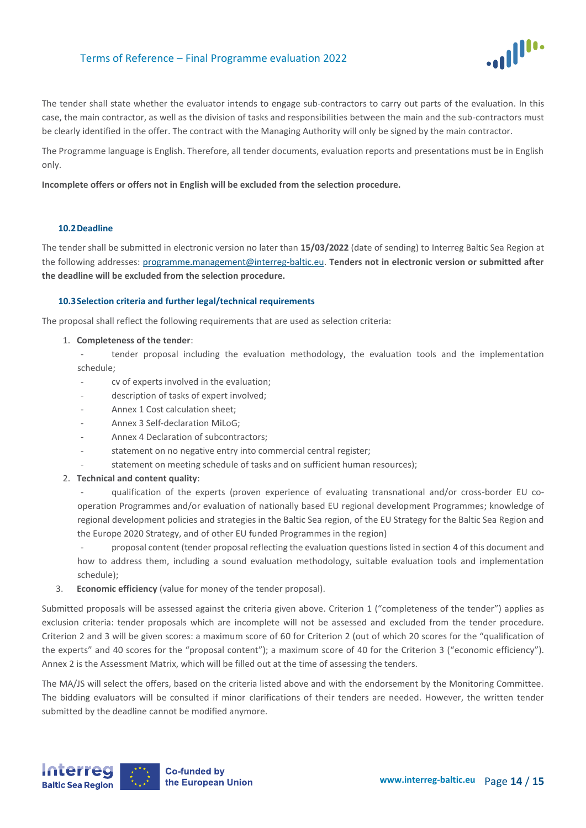

The tender shall state whether the evaluator intends to engage sub-contractors to carry out parts of the evaluation. In this case, the main contractor, as well as the division of tasks and responsibilities between the main and the sub-contractors must be clearly identified in the offer. The contract with the Managing Authority will only be signed by the main contractor.

The Programme language is English. Therefore, all tender documents, evaluation reports and presentations must be in English only.

**Incomplete offers or offers not in English will be excluded from the selection procedure.**

#### **10.2Deadline**

The tender shall be submitted in electronic version no later than **15/03/2022** (date of sending) to Interreg Baltic Sea Region at the following addresses: [programme.management@interreg-baltic.eu.](mailto:programme.management@interreg-baltic.eu) **Tenders not in electronic version or submitted after the deadline will be excluded from the selection procedure.**

#### **10.3Selection criteria and further legal/technical requirements**

The proposal shall reflect the following requirements that are used as selection criteria:

- 1. **Completeness of the tender**:
	- tender proposal including the evaluation methodology, the evaluation tools and the implementation schedule;
	- cv of experts involved in the evaluation;
	- description of tasks of expert involved;
	- Annex 1 Cost calculation sheet;
	- Annex 3 Self-declaration MiLoG;
	- Annex 4 Declaration of subcontractors:
	- statement on no negative entry into commercial central register;
	- statement on meeting schedule of tasks and on sufficient human resources);
- 2. **Technical and content quality**:

- qualification of the experts (proven experience of evaluating transnational and/or cross-border EU cooperation Programmes and/or evaluation of nationally based EU regional development Programmes; knowledge of regional development policies and strategies in the Baltic Sea region, of the EU Strategy for the Baltic Sea Region and the Europe 2020 Strategy, and of other EU funded Programmes in the region)

proposal content (tender proposal reflecting the evaluation questions listed in section 4 of this document and how to address them, including a sound evaluation methodology, suitable evaluation tools and implementation schedule);

3. **Economic efficiency** (value for money of the tender proposal).

Submitted proposals will be assessed against the criteria given above. Criterion 1 ("completeness of the tender") applies as exclusion criteria: tender proposals which are incomplete will not be assessed and excluded from the tender procedure. Criterion 2 and 3 will be given scores: a maximum score of 60 for Criterion 2 (out of which 20 scores for the "qualification of the experts" and 40 scores for the "proposal content"); a maximum score of 40 for the Criterion 3 ("economic efficiency"). Annex 2 is the Assessment Matrix, which will be filled out at the time of assessing the tenders.

The MA/JS will select the offers, based on the criteria listed above and with the endorsement by the Monitoring Committee. The bidding evaluators will be consulted if minor clarifications of their tenders are needed. However, the written tender submitted by the deadline cannot be modified anymore.